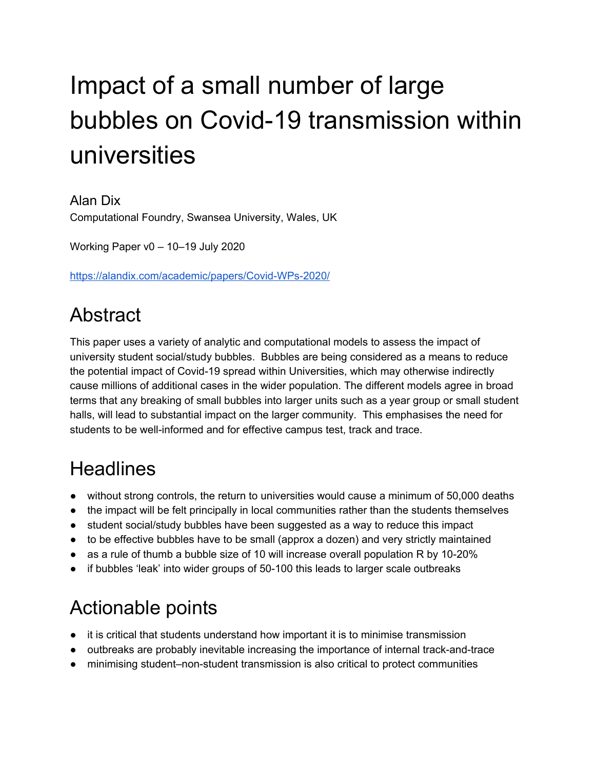# Impact of a small number of large bubbles on Covid-19 transmission within universities

Alan Dix Computational Foundry, Swansea University, Wales, UK

Working Paper v0 – 10–19 July 2020

<https://alandix.com/academic/papers/Covid-WPs-2020/>

# Abstract

This paper uses a variety of analytic and computational models to assess the impact of university student social/study bubbles. Bubbles are being considered as a means to reduce the potential impact of Covid-19 spread within Universities, which may otherwise indirectly cause millions of additional cases in the wider population. The different models agree in broad terms that any breaking of small bubbles into larger units such as a year group or small student halls, will lead to substantial impact on the larger community. This emphasises the need for students to be well-informed and for effective campus test, track and trace.

# **Headlines**

- without strong controls, the return to universities would cause a minimum of 50,000 deaths
- the impact will be felt principally in local communities rather than the students themselves
- student social/study bubbles have been suggested as a way to reduce this impact
- to be effective bubbles have to be small (approx a dozen) and very strictly maintained
- as a rule of thumb a bubble size of 10 will increase overall population R by 10-20%
- if bubbles 'leak' into wider groups of 50-100 this leads to larger scale outbreaks

# Actionable points

- it is critical that students understand how important it is to minimise transmission
- outbreaks are probably inevitable increasing the importance of internal track-and-trace
- minimising student–non-student transmission is also critical to protect communities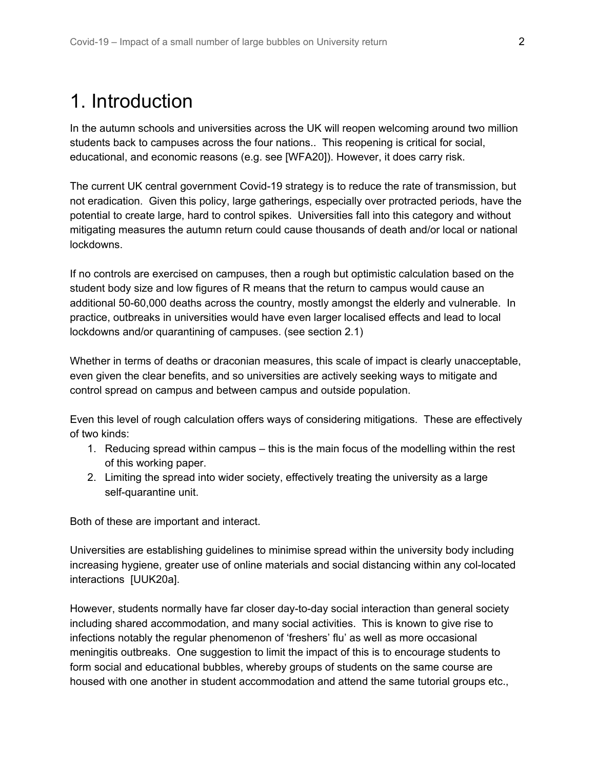# 1. Introduction

In the autumn schools and universities across the UK will reopen welcoming around two million students back to campuses across the four nations.. This reopening is critical for social, educational, and economic reasons (e.g. see [WFA20]). However, it does carry risk.

The current UK central government Covid-19 strategy is to reduce the rate of transmission, but not eradication. Given this policy, large gatherings, especially over protracted periods, have the potential to create large, hard to control spikes. Universities fall into this category and without mitigating measures the autumn return could cause thousands of death and/or local or national lockdowns.

If no controls are exercised on campuses, then a rough but optimistic calculation based on the student body size and low figures of R means that the return to campus would cause an additional 50-60,000 deaths across the country, mostly amongst the elderly and vulnerable. In practice, outbreaks in universities would have even larger localised effects and lead to local lockdowns and/or quarantining of campuses. (see section 2.1)

Whether in terms of deaths or draconian measures, this scale of impact is clearly unacceptable, even given the clear benefits, and so universities are actively seeking ways to mitigate and control spread on campus and between campus and outside population.

Even this level of rough calculation offers ways of considering mitigations. These are effectively of two kinds:

- 1. Reducing spread within campus this is the main focus of the modelling within the rest of this working paper.
- 2. Limiting the spread into wider society, effectively treating the university as a large self-quarantine unit.

Both of these are important and interact.

Universities are establishing guidelines to minimise spread within the university body including increasing hygiene, greater use of online materials and social distancing within any col-located interactions [UUK20a].

However, students normally have far closer day-to-day social interaction than general society including shared accommodation, and many social activities. This is known to give rise to infections notably the regular phenomenon of 'freshers' flu' as well as more occasional meningitis outbreaks. One suggestion to limit the impact of this is to encourage students to form social and educational bubbles, whereby groups of students on the same course are housed with one another in student accommodation and attend the same tutorial groups etc.,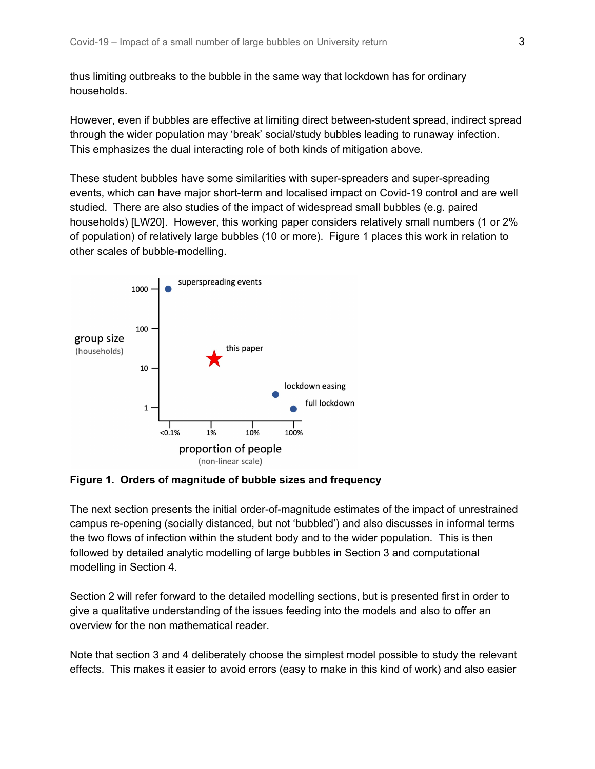thus limiting outbreaks to the bubble in the same way that lockdown has for ordinary households.

However, even if bubbles are effective at limiting direct between-student spread, indirect spread through the wider population may 'break' social/study bubbles leading to runaway infection. This emphasizes the dual interacting role of both kinds of mitigation above.

These student bubbles have some similarities with super-spreaders and super-spreading events, which can have major short-term and localised impact on Covid-19 control and are well studied. There are also studies of the impact of widespread small bubbles (e.g. paired households) [LW20]. However, this working paper considers relatively small numbers (1 or 2% of population) of relatively large bubbles (10 or more). Figure 1 places this work in relation to other scales of bubble-modelling.



**Figure 1. Orders of magnitude of bubble sizes and frequency**

The next section presents the initial order-of-magnitude estimates of the impact of unrestrained campus re-opening (socially distanced, but not 'bubbled') and also discusses in informal terms the two flows of infection within the student body and to the wider population. This is then followed by detailed analytic modelling of large bubbles in Section 3 and computational modelling in Section 4.

Section 2 will refer forward to the detailed modelling sections, but is presented first in order to give a qualitative understanding of the issues feeding into the models and also to offer an overview for the non mathematical reader.

Note that section 3 and 4 deliberately choose the simplest model possible to study the relevant effects. This makes it easier to avoid errors (easy to make in this kind of work) and also easier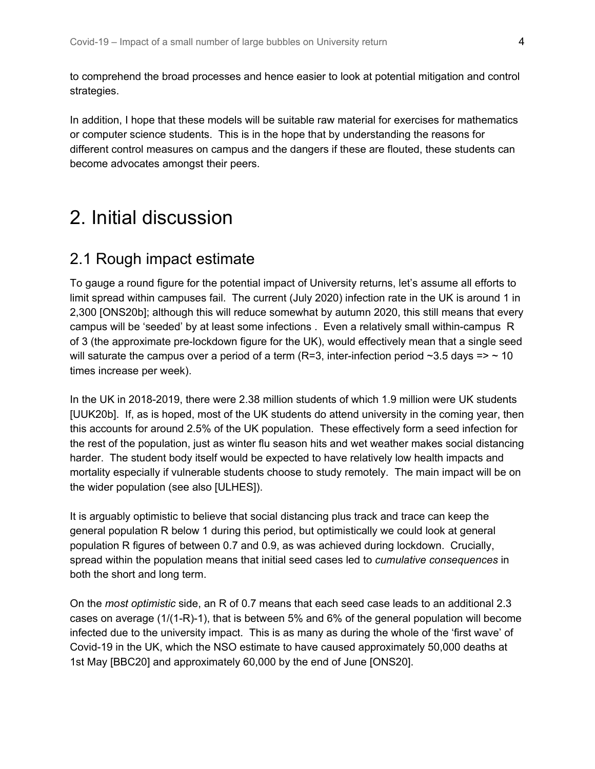to comprehend the broad processes and hence easier to look at potential mitigation and control strategies.

In addition, I hope that these models will be suitable raw material for exercises for mathematics or computer science students. This is in the hope that by understanding the reasons for different control measures on campus and the dangers if these are flouted, these students can become advocates amongst their peers.

### 2. Initial discussion

#### 2.1 Rough impact estimate

To gauge a round figure for the potential impact of University returns, let's assume all efforts to limit spread within campuses fail. The current (July 2020) infection rate in the UK is around 1 in 2,300 [ONS20b]; although this will reduce somewhat by autumn 2020, this still means that every campus will be 'seeded' by at least some infections . Even a relatively small within-campus R of 3 (the approximate pre-lockdown figure for the UK), would effectively mean that a single seed will saturate the campus over a period of a term (R=3, inter-infection period  $\sim$ 3.5 days =>  $\sim$  10 times increase per week).

In the UK in 2018-2019, there were 2.38 million students of which 1.9 million were UK students [UUK20b]. If, as is hoped, most of the UK students do attend university in the coming year, then this accounts for around 2.5% of the UK population. These effectively form a seed infection for the rest of the population, just as winter flu season hits and wet weather makes social distancing harder. The student body itself would be expected to have relatively low health impacts and mortality especially if vulnerable students choose to study remotely. The main impact will be on the wider population (see also [ULHES]).

It is arguably optimistic to believe that social distancing plus track and trace can keep the general population R below 1 during this period, but optimistically we could look at general population R figures of between 0.7 and 0.9, as was achieved during lockdown. Crucially, spread within the population means that initial seed cases led to *cumulative consequences* in both the short and long term.

On the *most optimistic* side, an R of 0.7 means that each seed case leads to an additional 2.3 cases on average (1/(1-R)-1), that is between 5% and 6% of the general population will become infected due to the university impact. This is as many as during the whole of the 'first wave' of Covid-19 in the UK, which the NSO estimate to have caused approximately 50,000 deaths at 1st May [BBC20] and approximately 60,000 by the end of June [ONS20].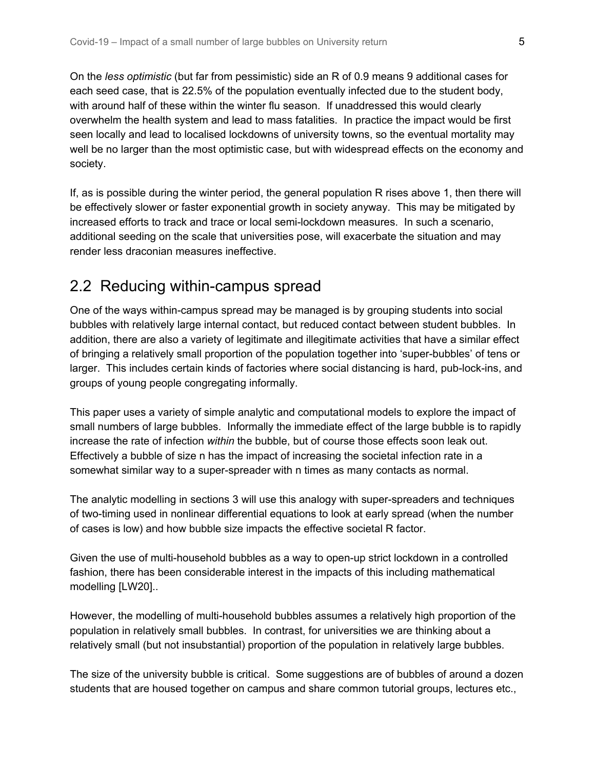On the *less optimistic* (but far from pessimistic) side an R of 0.9 means 9 additional cases for each seed case, that is 22.5% of the population eventually infected due to the student body, with around half of these within the winter flu season. If unaddressed this would clearly overwhelm the health system and lead to mass fatalities. In practice the impact would be first seen locally and lead to localised lockdowns of university towns, so the eventual mortality may well be no larger than the most optimistic case, but with widespread effects on the economy and society.

If, as is possible during the winter period, the general population R rises above 1, then there will be effectively slower or faster exponential growth in society anyway. This may be mitigated by increased efforts to track and trace or local semi-lockdown measures. In such a scenario, additional seeding on the scale that universities pose, will exacerbate the situation and may render less draconian measures ineffective.

#### 2.2 Reducing within-campus spread

One of the ways within-campus spread may be managed is by grouping students into social bubbles with relatively large internal contact, but reduced contact between student bubbles. In addition, there are also a variety of legitimate and illegitimate activities that have a similar effect of bringing a relatively small proportion of the population together into 'super-bubbles' of tens or larger. This includes certain kinds of factories where social distancing is hard, pub-lock-ins, and groups of young people congregating informally.

This paper uses a variety of simple analytic and computational models to explore the impact of small numbers of large bubbles. Informally the immediate effect of the large bubble is to rapidly increase the rate of infection *within* the bubble, but of course those effects soon leak out. Effectively a bubble of size n has the impact of increasing the societal infection rate in a somewhat similar way to a super-spreader with n times as many contacts as normal.

The analytic modelling in sections 3 will use this analogy with super-spreaders and techniques of two-timing used in nonlinear differential equations to look at early spread (when the number of cases is low) and how bubble size impacts the effective societal R factor.

Given the use of multi-household bubbles as a way to open-up strict lockdown in a controlled fashion, there has been considerable interest in the impacts of this including mathematical modelling [LW20]..

However, the modelling of multi-household bubbles assumes a relatively high proportion of the population in relatively small bubbles. In contrast, for universities we are thinking about a relatively small (but not insubstantial) proportion of the population in relatively large bubbles.

The size of the university bubble is critical. Some suggestions are of bubbles of around a dozen students that are housed together on campus and share common tutorial groups, lectures etc.,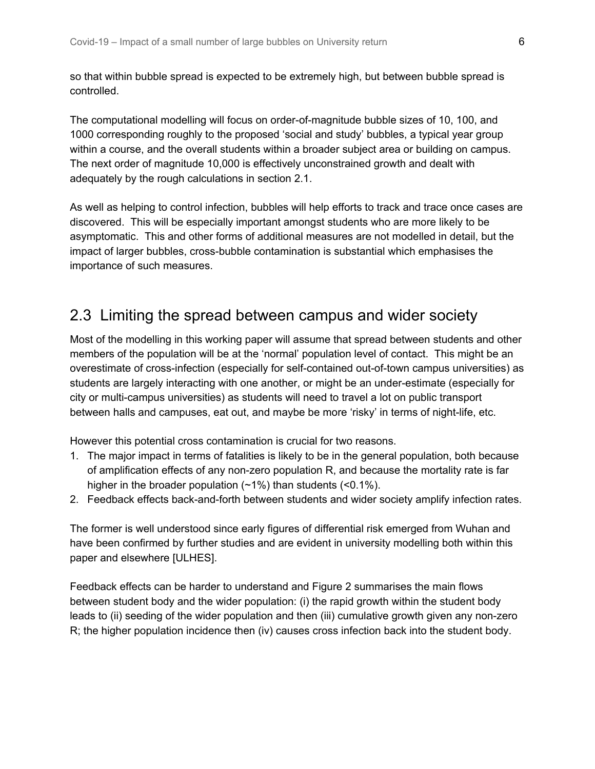so that within bubble spread is expected to be extremely high, but between bubble spread is controlled.

The computational modelling will focus on order-of-magnitude bubble sizes of 10, 100, and 1000 corresponding roughly to the proposed 'social and study' bubbles, a typical year group within a course, and the overall students within a broader subject area or building on campus. The next order of magnitude 10,000 is effectively unconstrained growth and dealt with adequately by the rough calculations in section 2.1.

As well as helping to control infection, bubbles will help efforts to track and trace once cases are discovered. This will be especially important amongst students who are more likely to be asymptomatic. This and other forms of additional measures are not modelled in detail, but the impact of larger bubbles, cross-bubble contamination is substantial which emphasises the importance of such measures.

### 2.3 Limiting the spread between campus and wider society

Most of the modelling in this working paper will assume that spread between students and other members of the population will be at the 'normal' population level of contact. This might be an overestimate of cross-infection (especially for self-contained out-of-town campus universities) as students are largely interacting with one another, or might be an under-estimate (especially for city or multi-campus universities) as students will need to travel a lot on public transport between halls and campuses, eat out, and maybe be more 'risky' in terms of night-life, etc.

However this potential cross contamination is crucial for two reasons.

- 1. The major impact in terms of fatalities is likely to be in the general population, both because of amplification effects of any non-zero population R, and because the mortality rate is far higher in the broader population (~1%) than students (<0.1%).
- 2. Feedback effects back-and-forth between students and wider society amplify infection rates.

The former is well understood since early figures of differential risk emerged from Wuhan and have been confirmed by further studies and are evident in university modelling both within this paper and elsewhere [ULHES].

Feedback effects can be harder to understand and Figure 2 summarises the main flows between student body and the wider population: (i) the rapid growth within the student body leads to (ii) seeding of the wider population and then (iii) cumulative growth given any non-zero R; the higher population incidence then (iv) causes cross infection back into the student body.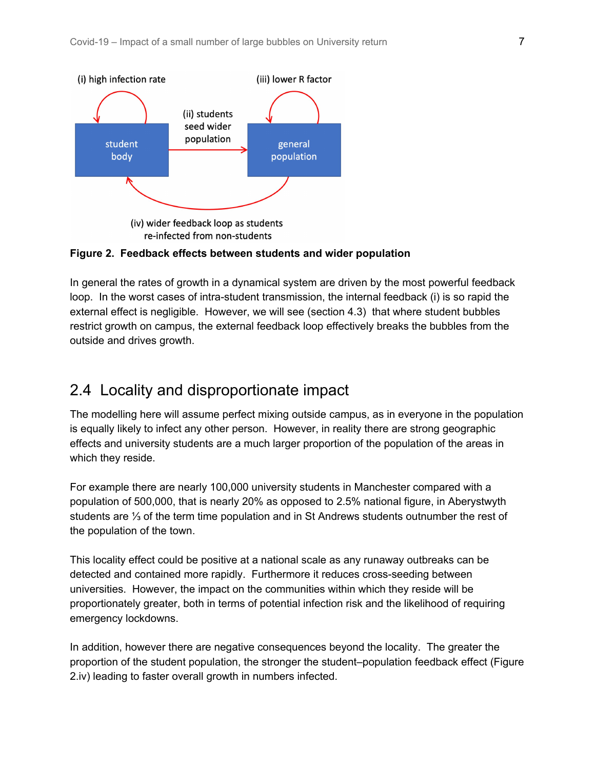

#### **Figure 2. Feedback effects between students and wider population**

In general the rates of growth in a dynamical system are driven by the most powerful feedback loop. In the worst cases of intra-student transmission, the internal feedback (i) is so rapid the external effect is negligible. However, we will see (section 4.3) that where student bubbles restrict growth on campus, the external feedback loop effectively breaks the bubbles from the outside and drives growth.

#### 2.4 Locality and disproportionate impact

The modelling here will assume perfect mixing outside campus, as in everyone in the population is equally likely to infect any other person. However, in reality there are strong geographic effects and university students are a much larger proportion of the population of the areas in which they reside.

For example there are nearly 100,000 university students in Manchester compared with a population of 500,000, that is nearly 20% as opposed to 2.5% national figure, in Aberystwyth students are ⅓ of the term time population and in St Andrews students outnumber the rest of the population of the town.

This locality effect could be positive at a national scale as any runaway outbreaks can be detected and contained more rapidly. Furthermore it reduces cross-seeding between universities. However, the impact on the communities within which they reside will be proportionately greater, both in terms of potential infection risk and the likelihood of requiring emergency lockdowns.

In addition, however there are negative consequences beyond the locality. The greater the proportion of the student population, the stronger the student–population feedback effect (Figure 2.iv) leading to faster overall growth in numbers infected.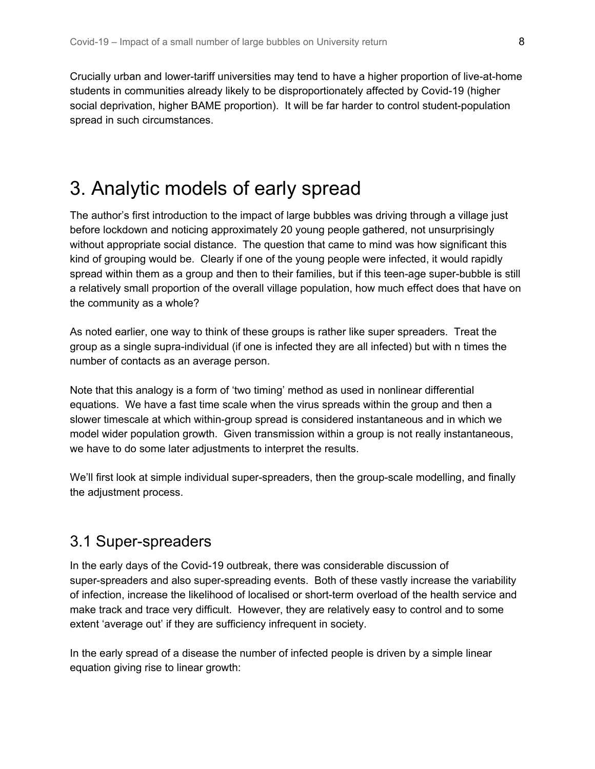Crucially urban and lower-tariff universities may tend to have a higher proportion of live-at-home students in communities already likely to be disproportionately affected by Covid-19 (higher social deprivation, higher BAME proportion). It will be far harder to control student-population spread in such circumstances.

### 3. Analytic models of early spread

The author's first introduction to the impact of large bubbles was driving through a village just before lockdown and noticing approximately 20 young people gathered, not unsurprisingly without appropriate social distance. The question that came to mind was how significant this kind of grouping would be. Clearly if one of the young people were infected, it would rapidly spread within them as a group and then to their families, but if this teen-age super-bubble is still a relatively small proportion of the overall village population, how much effect does that have on the community as a whole?

As noted earlier, one way to think of these groups is rather like super spreaders. Treat the group as a single supra-individual (if one is infected they are all infected) but with n times the number of contacts as an average person.

Note that this analogy is a form of 'two timing' method as used in nonlinear differential equations. We have a fast time scale when the virus spreads within the group and then a slower timescale at which within-group spread is considered instantaneous and in which we model wider population growth. Given transmission within a group is not really instantaneous, we have to do some later adjustments to interpret the results.

We'll first look at simple individual super-spreaders, then the group-scale modelling, and finally the adjustment process.

#### 3.1 Super-spreaders

In the early days of the Covid-19 outbreak, there was considerable discussion of super-spreaders and also super-spreading events. Both of these vastly increase the variability of infection, increase the likelihood of localised or short-term overload of the health service and make track and trace very difficult. However, they are relatively easy to control and to some extent 'average out' if they are sufficiency infrequent in society.

In the early spread of a disease the number of infected people is driven by a simple linear equation giving rise to linear growth: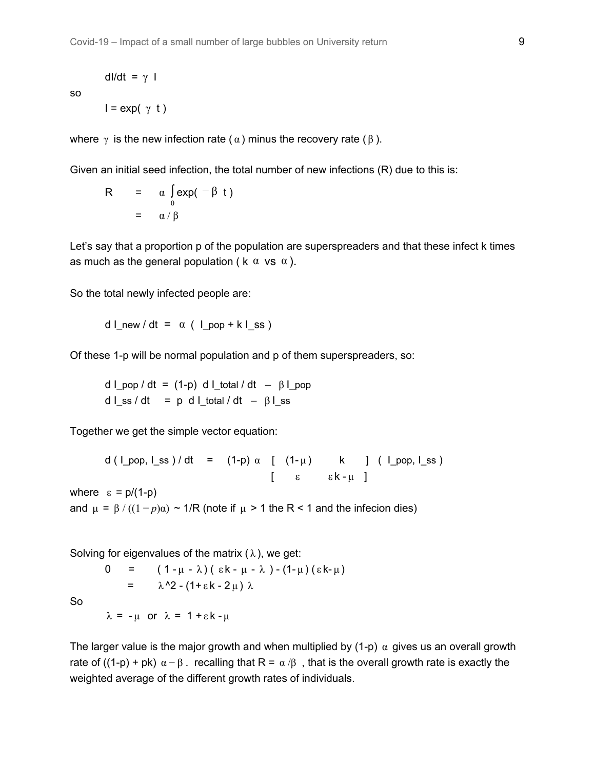dl/dt =  $\gamma$  |  $I = exp(y t)$ 

so

where  $\gamma$  is the new infection rate ( $\alpha$ ) minus the recovery rate ( $\beta$ ).

Given an initial seed infection, the total number of new infections (R) due to this is:

$$
R = \alpha \int_{0}^{1} exp(-\beta t)
$$
  
=  $\alpha/\beta$ 

Let's say that a proportion p of the population are superspreaders and that these infect k times as much as the general population ( $k \alpha$  vs  $\alpha$ ).

So the total newly infected people are:

$$
d \mid new/dt = \alpha \left( \mid pop + k \mid ss \right)
$$

Of these 1-p will be normal population and p of them superspreaders, so:

d  $\log$  / dt = (1-p) d  $\log$  d  $\log$  dt  $\beta$   $\log$  pop d  $\lfloor$  ss / dt = p d  $\lfloor$  total / dt -  $\beta$   $\lfloor$  ss

Together we get the simple vector equation:

d ( I pop, I\_s) / dt = (1-p) 
$$
\alpha
$$
 [ (1- $\mu$ ) k ] ( I pop, I\_s)   
 [  $\varepsilon$   $\varepsilon k - \mu$  ]  
where  $\varepsilon = p/(1-p)$   
and  $\mu = \beta / ((1-p)\alpha) \sim 1/R$  (note if  $\mu > 1$  the R < 1 and the infection dies)

Solving for eigenvalues of the matrix  $(\lambda)$ , we get:

$$
0 = (1 - \mu - \lambda) (\epsilon k - \mu - \lambda) - (1 - \mu) (\epsilon k - \mu)
$$
  
=  $\lambda^2 2 - (1 + \epsilon k - 2\mu) \lambda$ 

So

 $\lambda = -\mu$  or  $\lambda = 1 + \epsilon k - \mu$ 

The larger value is the major growth and when multiplied by  $(1-p)$   $\alpha$  gives us an overall growth rate of ((1-p) + pk)  $\alpha - \beta$ . recalling that R =  $\alpha/\beta$ , that is the overall growth rate is exactly the weighted average of the different growth rates of individuals.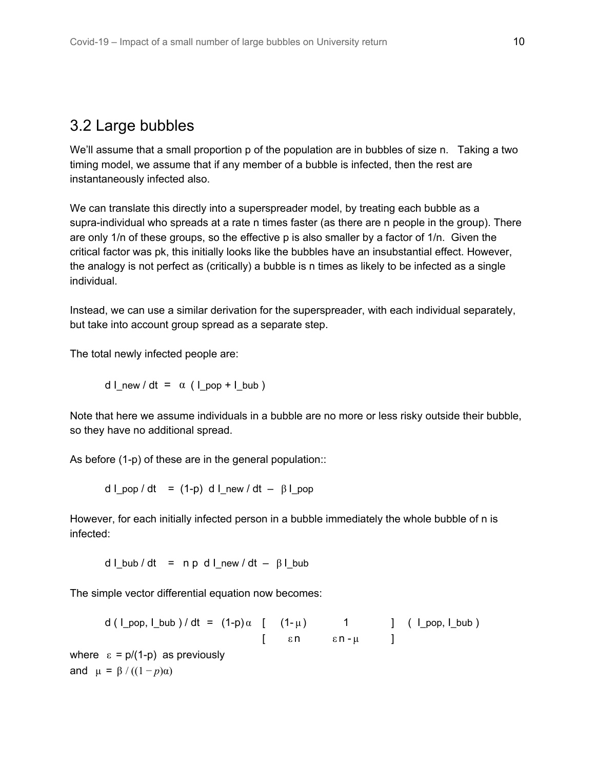#### 3.2 Large bubbles

We'll assume that a small proportion p of the population are in bubbles of size n. Taking a two timing model, we assume that if any member of a bubble is infected, then the rest are instantaneously infected also.

We can translate this directly into a superspreader model, by treating each bubble as a supra-individual who spreads at a rate n times faster (as there are n people in the group). There are only 1/n of these groups, so the effective p is also smaller by a factor of 1/n. Given the critical factor was pk, this initially looks like the bubbles have an insubstantial effect. However, the analogy is not perfect as (critically) a bubble is n times as likely to be infected as a single individual.

Instead, we can use a similar derivation for the superspreader, with each individual separately, but take into account group spread as a separate step.

The total newly infected people are:

d I new / dt =  $\alpha$  ( I pop + I bub )

Note that here we assume individuals in a bubble are no more or less risky outside their bubble, so they have no additional spread.

As before (1-p) of these are in the general population::

d I\_pop / dt =  $(1-p)$  d I\_new / dt -  $\beta$  I\_pop

However, for each initially infected person in a bubble immediately the whole bubble of n is infected:

d  $\vert$  bub / dt = n p d  $\vert$  new / dt -  $\beta$   $\vert$  bub

The simple vector differential equation now becomes:

 $d ( l\_pop, l\_bub ) / dt = (1-p) \alpha [ (1-\mu) 1 ] ( l\_pop, l\_bub )$ [ εn εn-μ ] where  $\varepsilon = p/(1-p)$  as previously and  $\mu = \beta / ((1-p)\alpha)$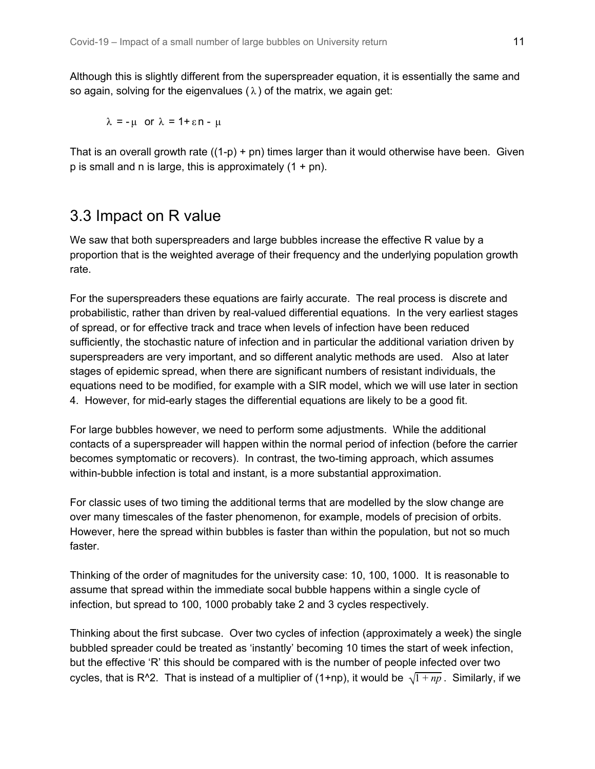Although this is slightly different from the superspreader equation, it is essentially the same and so again, solving for the eigenvalues  $(\lambda)$  of the matrix, we again get:

$$
\lambda = -\mu \text{ or } \lambda = 1 + \epsilon n - \mu
$$

That is an overall growth rate  $((1-p) + pn)$  times larger than it would otherwise have been. Given p is small and n is large, this is approximately  $(1 + pn)$ .

#### 3.3 Impact on R value

We saw that both superspreaders and large bubbles increase the effective R value by a proportion that is the weighted average of their frequency and the underlying population growth rate.

For the superspreaders these equations are fairly accurate. The real process is discrete and probabilistic, rather than driven by real-valued differential equations. In the very earliest stages of spread, or for effective track and trace when levels of infection have been reduced sufficiently, the stochastic nature of infection and in particular the additional variation driven by superspreaders are very important, and so different analytic methods are used. Also at later stages of epidemic spread, when there are significant numbers of resistant individuals, the equations need to be modified, for example with a SIR model, which we will use later in section 4. However, for mid-early stages the differential equations are likely to be a good fit.

For large bubbles however, we need to perform some adjustments. While the additional contacts of a superspreader will happen within the normal period of infection (before the carrier becomes symptomatic or recovers). In contrast, the two-timing approach, which assumes within-bubble infection is total and instant, is a more substantial approximation.

For classic uses of two timing the additional terms that are modelled by the slow change are over many timescales of the faster phenomenon, for example, models of precision of orbits. However, here the spread within bubbles is faster than within the population, but not so much faster.

Thinking of the order of magnitudes for the university case: 10, 100, 1000. It is reasonable to assume that spread within the immediate socal bubble happens within a single cycle of infection, but spread to 100, 1000 probably take 2 and 3 cycles respectively.

Thinking about the first subcase. Over two cycles of infection (approximately a week) the single bubbled spreader could be treated as 'instantly' becoming 10 times the start of week infection, but the effective 'R' this should be compared with is the number of people infected over two cycles, that is R^2. That is instead of a multiplier of (1+np), it would be  $\sqrt{1 + np}$ . Similarly, if we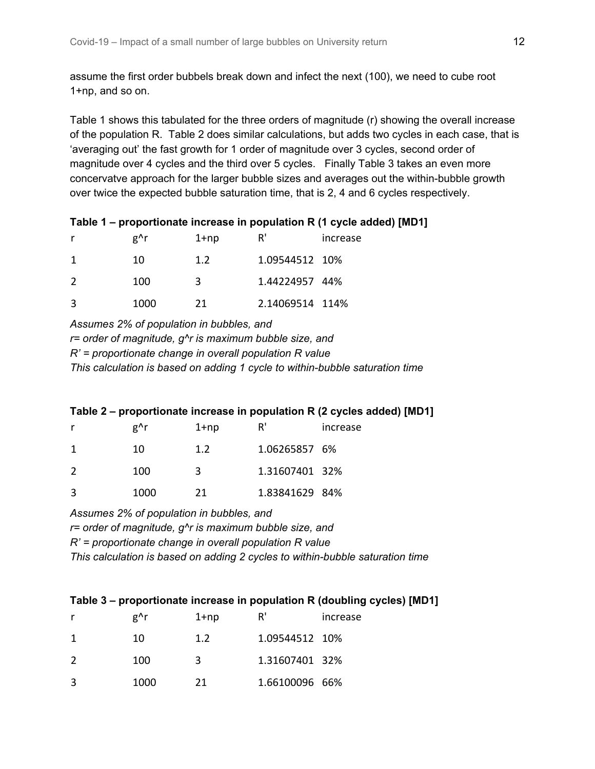assume the first order bubbels break down and infect the next (100), we need to cube root 1+np, and so on.

Table 1 shows this tabulated for the three orders of magnitude (r) showing the overall increase of the population R. Table 2 does similar calculations, but adds two cycles in each case, that is 'averaging out' the fast growth for 1 order of magnitude over 3 cycles, second order of magnitude over 4 cycles and the third over 5 cycles. Finally Table 3 takes an even more concervatve approach for the larger bubble sizes and averages out the within-bubble growth over twice the expected bubble saturation time, that is 2, 4 and 6 cycles respectively.

| Table 1 – proportionate increase in population R (1 cycle added) [MD1] |      |        |                 |          |  |  |
|------------------------------------------------------------------------|------|--------|-----------------|----------|--|--|
| r                                                                      | g^r  | $1+np$ | R'              | increase |  |  |
| -1                                                                     | 10   | 1.2    | 1.09544512 10%  |          |  |  |
| 2                                                                      | 100  | 3      | 1.44224957 44%  |          |  |  |
| 3                                                                      | 1000 | 21     | 2.14069514 114% |          |  |  |

*Assumes 2% of population in bubbles, and*

*r= order of magnitude, g^r is maximum bubble size, and*

*R' = proportionate change in overall population R value*

*This calculation is based on adding 1 cycle to within-bubble saturation time*

| Table 2 – proportionate increase in population R (2 cycles added) [MD1] |  |  |  |
|-------------------------------------------------------------------------|--|--|--|
|                                                                         |  |  |  |

|               | g^r  | $1 + np$ | $R^r$          | increase |
|---------------|------|----------|----------------|----------|
|               | 10   | 12       | 1.06265857 6%  |          |
| $\mathcal{P}$ | 100  | 3        | 1.31607401 32% |          |
| 3             | 1000 | 21       | 1.83841629 84% |          |

*Assumes 2% of population in bubbles, and r= order of magnitude, g^r is maximum bubble size, and R' = proportionate change in overall population R value This calculation is based on adding 2 cycles to within-bubble saturation time*

| Table 3 - proportionate increase in population R (doubling cycles) [MD1] |  |  |  |  |  |
|--------------------------------------------------------------------------|--|--|--|--|--|
|--------------------------------------------------------------------------|--|--|--|--|--|

|               | g^r  | $1 + np$ | R'             | increase |
|---------------|------|----------|----------------|----------|
|               | 10   | 1.2      | 1.09544512 10% |          |
| $\mathcal{L}$ | 100  | 3        | 1.31607401 32% |          |
| 3             | 1000 | 21       | 1.66100096 66% |          |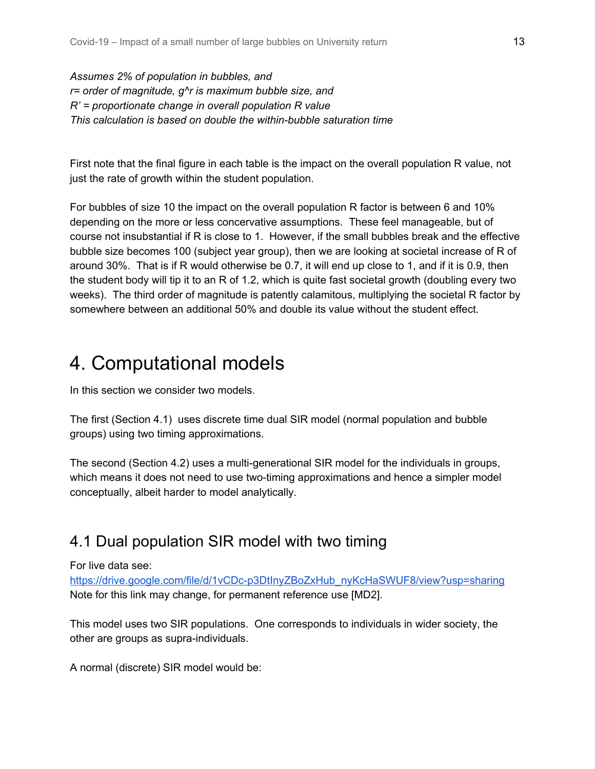*Assumes 2% of population in bubbles, and r= order of magnitude, g^r is maximum bubble size, and R' = proportionate change in overall population R value This calculation is based on double the within-bubble saturation time*

First note that the final figure in each table is the impact on the overall population R value, not just the rate of growth within the student population.

For bubbles of size 10 the impact on the overall population R factor is between 6 and 10% depending on the more or less concervative assumptions. These feel manageable, but of course not insubstantial if R is close to 1. However, if the small bubbles break and the effective bubble size becomes 100 (subject year group), then we are looking at societal increase of R of around 30%. That is if R would otherwise be 0.7, it will end up close to 1, and if it is 0.9, then the student body will tip it to an R of 1.2, which is quite fast societal growth (doubling every two weeks). The third order of magnitude is patently calamitous, multiplying the societal R factor by somewhere between an additional 50% and double its value without the student effect.

# 4. Computational models

In this section we consider two models.

The first (Section 4.1) uses discrete time dual SIR model (normal population and bubble groups) using two timing approximations.

The second (Section 4.2) uses a multi-generational SIR model for the individuals in groups, which means it does not need to use two-timing approximations and hence a simpler model conceptually, albeit harder to model analytically.

### 4.1 Dual population SIR model with two timing

For live data see:

[https://drive.google.com/file/d/1vCDc-p3DtInyZBoZxHub\\_nyKcHaSWUF8/view?usp=sharing](https://drive.google.com/file/d/1vCDc-p3DtInyZBoZxHub_nyKcHaSWUF8/view?usp=sharing) Note for this link may change, for permanent reference use [MD2].

This model uses two SIR populations. One corresponds to individuals in wider society, the other are groups as supra-individuals.

A normal (discrete) SIR model would be: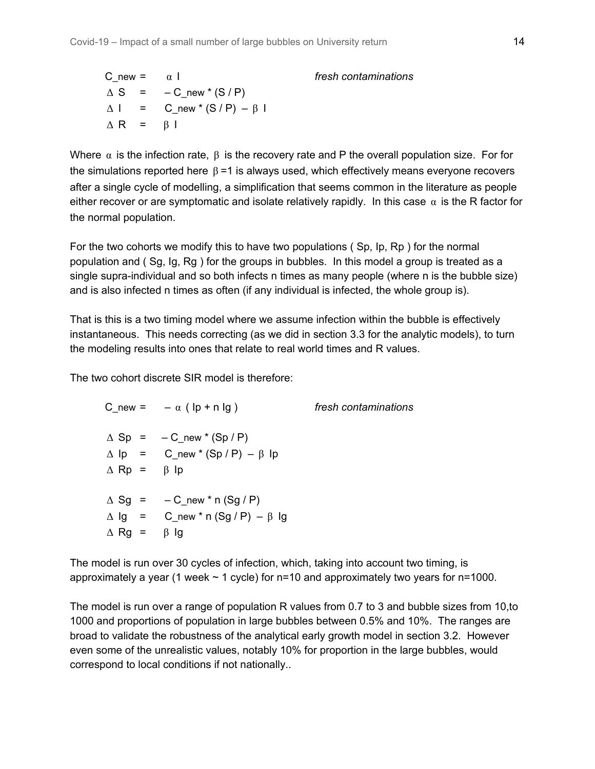C\_new = α I *fresh contaminations*  $\triangle S$  =  $-C$  new \* (S / P)  $\Delta I = C_{\text{new}}*(S/P) - \beta I$  $\triangle$  R =  $\parallel$  B I

Where  $\alpha$  is the infection rate,  $\beta$  is the recovery rate and P the overall population size. For for the simulations reported here  $β = 1$  is always used, which effectively means everyone recovers after a single cycle of modelling, a simplification that seems common in the literature as people either recover or are symptomatic and isolate relatively rapidly. In this case  $\alpha$  is the R factor for the normal population.

For the two cohorts we modify this to have two populations ( Sp, Ip, Rp ) for the normal population and ( Sg, Ig, Rg ) for the groups in bubbles. In this model a group is treated as a single supra-individual and so both infects n times as many people (where n is the bubble size) and is also infected n times as often (if any individual is infected, the whole group is).

That is this is a two timing model where we assume infection within the bubble is effectively instantaneous. This needs correcting (as we did in section 3.3 for the analytic models), to turn the modeling results into ones that relate to real world times and R values.

The two cohort discrete SIR model is therefore:

C new =  $-\alpha$  ( Ip + n Ig ) *fresh contaminations*  $\triangle$  Sp =  $-C_{\text{new}}*(Sp/P)$  $\Delta$  lp = C\_new \* (Sp / P) –  $\beta$  lp  $\triangle$  Rp =  $\beta$  Ip  $\triangle$  Sg =  $-C_{\text{new}} * n (Sg / P)$  $\Delta$  Ig = C\_new \* n (Sg / P) –  $\beta$  Ig  $\triangle$  Rg =  $\beta$  Ig

The model is run over 30 cycles of infection, which, taking into account two timing, is approximately a year (1 week  $\sim$  1 cycle) for n=10 and approximately two years for n=1000.

The model is run over a range of population R values from 0.7 to 3 and bubble sizes from 10,to 1000 and proportions of population in large bubbles between 0.5% and 10%. The ranges are broad to validate the robustness of the analytical early growth model in section 3.2. However even some of the unrealistic values, notably 10% for proportion in the large bubbles, would correspond to local conditions if not nationally..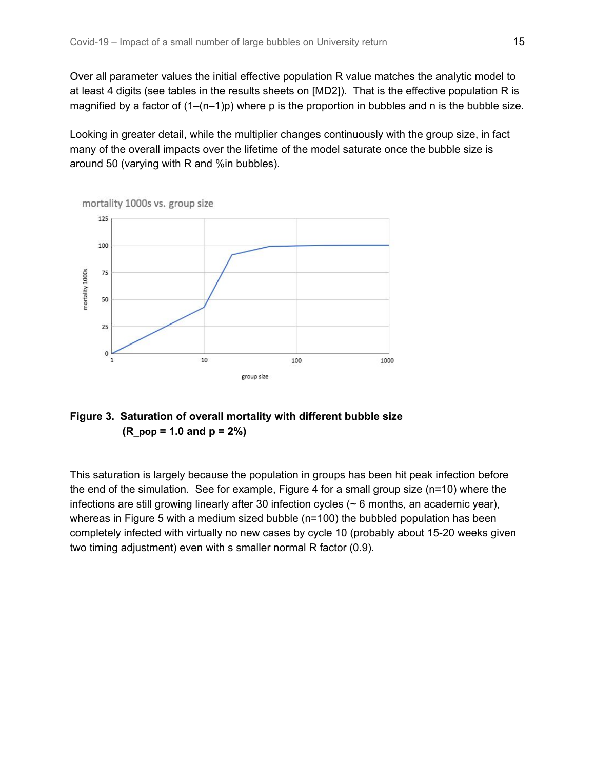Over all parameter values the initial effective population R value matches the analytic model to at least 4 digits (see tables in the results sheets on [MD2]). That is the effective population R is magnified by a factor of  $(1-(n-1)p)$  where p is the proportion in bubbles and n is the bubble size.

Looking in greater detail, while the multiplier changes continuously with the group size, in fact many of the overall impacts over the lifetime of the model saturate once the bubble size is around 50 (varying with R and %in bubbles).



**Figure 3. Saturation of overall mortality with different bubble size (R\_pop = 1.0 and p = 2%)**

This saturation is largely because the population in groups has been hit peak infection before the end of the simulation. See for example, Figure 4 for a small group size (n=10) where the infections are still growing linearly after 30 infection cycles  $($   $\sim$  6 months, an academic year), whereas in Figure 5 with a medium sized bubble (n=100) the bubbled population has been completely infected with virtually no new cases by cycle 10 (probably about 15-20 weeks given two timing adjustment) even with s smaller normal R factor (0.9).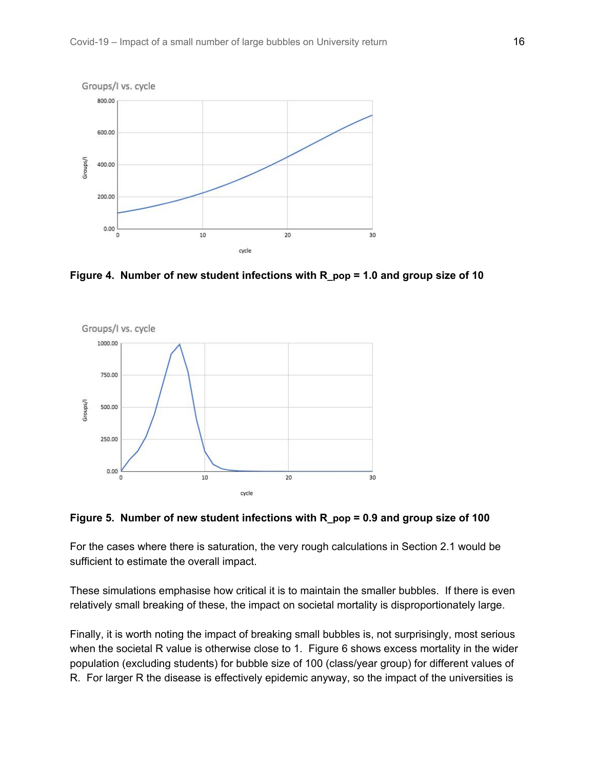

**Figure 4. Number of new student infections with R\_pop = 1.0 and group size of 10**



**Figure 5. Number of new student infections with R\_pop = 0.9 and group size of 100**

For the cases where there is saturation, the very rough calculations in Section 2.1 would be sufficient to estimate the overall impact.

These simulations emphasise how critical it is to maintain the smaller bubbles. If there is even relatively small breaking of these, the impact on societal mortality is disproportionately large.

Finally, it is worth noting the impact of breaking small bubbles is, not surprisingly, most serious when the societal R value is otherwise close to 1. Figure 6 shows excess mortality in the wider population (excluding students) for bubble size of 100 (class/year group) for different values of R. For larger R the disease is effectively epidemic anyway, so the impact of the universities is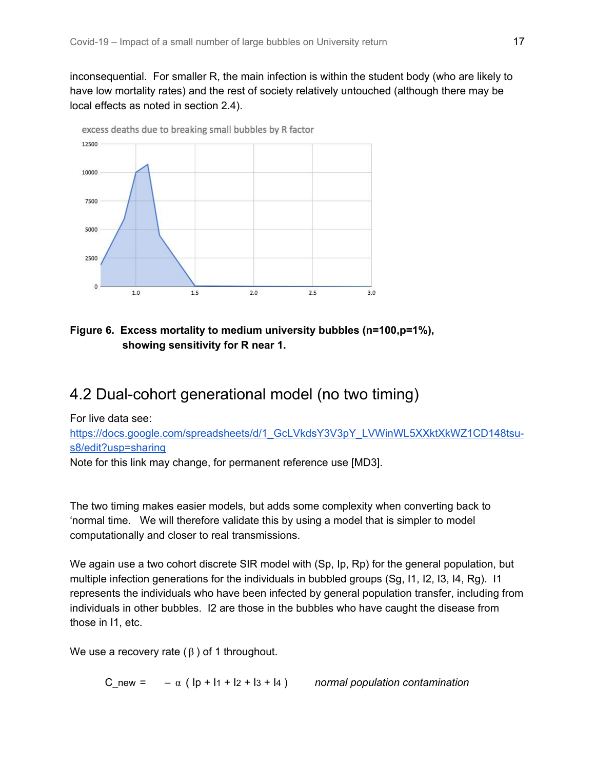inconsequential. For smaller R, the main infection is within the student body (who are likely to have low mortality rates) and the rest of society relatively untouched (although there may be local effects as noted in section 2.4).



**Figure 6. Excess mortality to medium university bubbles (n=100,p=1%), showing sensitivity for R near 1.**

### 4.2 Dual-cohort generational model (no two timing)

For live data see:

[https://docs.google.com/spreadsheets/d/1\\_GcLVkdsY3V3pY\\_LVWinWL5XXktXkWZ1CD148tsu](https://docs.google.com/spreadsheets/d/1_GcLVkdsY3V3pY_LVWinWL5XXktXkWZ1CD148tsu-s8/edit?usp=sharing)[s8/edit?usp=sharing](https://docs.google.com/spreadsheets/d/1_GcLVkdsY3V3pY_LVWinWL5XXktXkWZ1CD148tsu-s8/edit?usp=sharing)

Note for this link may change, for permanent reference use [MD3].

The two timing makes easier models, but adds some complexity when converting back to 'normal time. We will therefore validate this by using a model that is simpler to model computationally and closer to real transmissions.

We again use a two cohort discrete SIR model with (Sp, Ip, Rp) for the general population, but multiple infection generations for the individuals in bubbled groups (Sg, I1, I2, I3, I4, Rg). I1 represents the individuals who have been infected by general population transfer, including from individuals in other bubbles. I2 are those in the bubbles who have caught the disease from those in I1, etc.

We use a recovery rate  $(\beta)$  of 1 throughout.

C\_new =  $-\alpha$  ( $\ln + \ln + \ln 2 + \ln 3 + \ln 4$ ) *normal population contamination*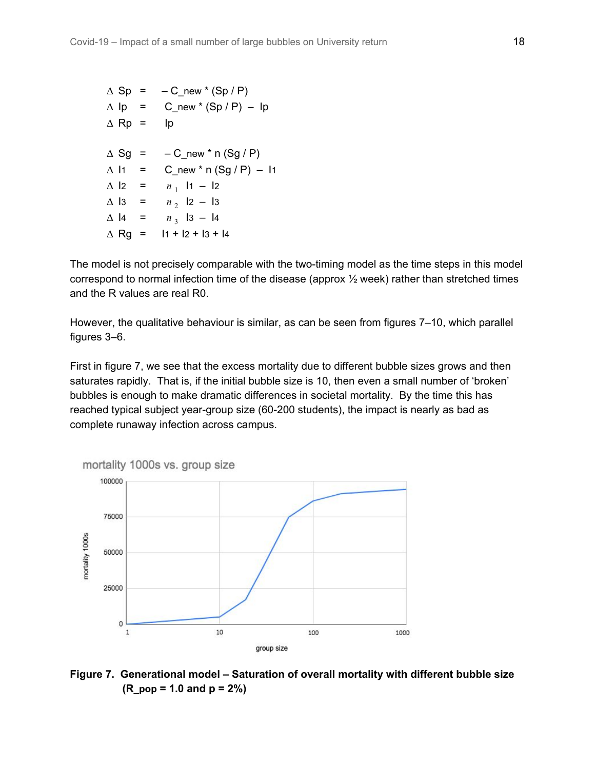$\triangle$  Sp =  $-C$  new \* (Sp / P)  $\triangle$  Ip = C new \* (Sp / P) – Ip  $\triangle$  Rp = Ip  $\triangle$  Sg =  $-C_{\text{new}} * n (Sg / P)$  $\Delta$  I1 = C\_new \* n (Sg / P) – I1  $\Delta$  |2 =  $n_1$  |1 – |2  $\Delta$  13 =  $n_2$  12 – 13  $\Delta$  14 =  $n_3$  13 - 14  $\triangle$  Rg =  $\vert 1 + \vert 2 + \vert 3 + \vert 4$ 

The model is not precisely comparable with the two-timing model as the time steps in this model correspond to normal infection time of the disease (approx  $\frac{1}{2}$  week) rather than stretched times and the R values are real R0.

However, the qualitative behaviour is similar, as can be seen from figures 7–10, which parallel figures 3–6.

First in figure 7, we see that the excess mortality due to different bubble sizes grows and then saturates rapidly. That is, if the initial bubble size is 10, then even a small number of 'broken' bubbles is enough to make dramatic differences in societal mortality. By the time this has reached typical subject year-group size (60-200 students), the impact is nearly as bad as complete runaway infection across campus.



**Figure 7. Generational model – Saturation of overall mortality with different bubble size (R\_pop = 1.0 and p = 2%)**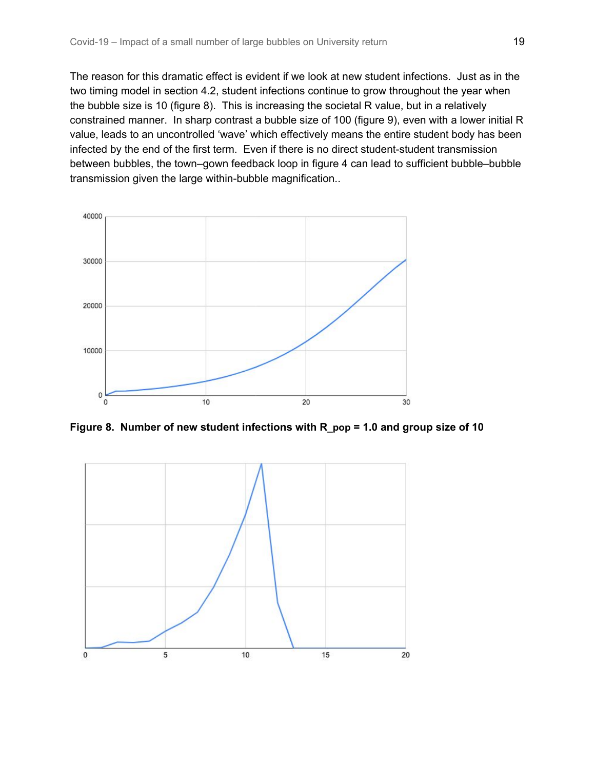The reason for this dramatic effect is evident if we look at new student infections. Just as in the two timing model in section 4.2, student infections continue to grow throughout the year when the bubble size is 10 (figure 8). This is increasing the societal R value, but in a relatively constrained manner. In sharp contrast a bubble size of 100 (figure 9), even with a lower initial R value, leads to an uncontrolled 'wave' which effectively means the entire student body has been infected by the end of the first term. Even if there is no direct student-student transmission between bubbles, the town–gown feedback loop in figure 4 can lead to sufficient bubble–bubble transmission given the large within-bubble magnification..



**Figure 8. Number of new student infections with R\_pop = 1.0 and group size of 10**

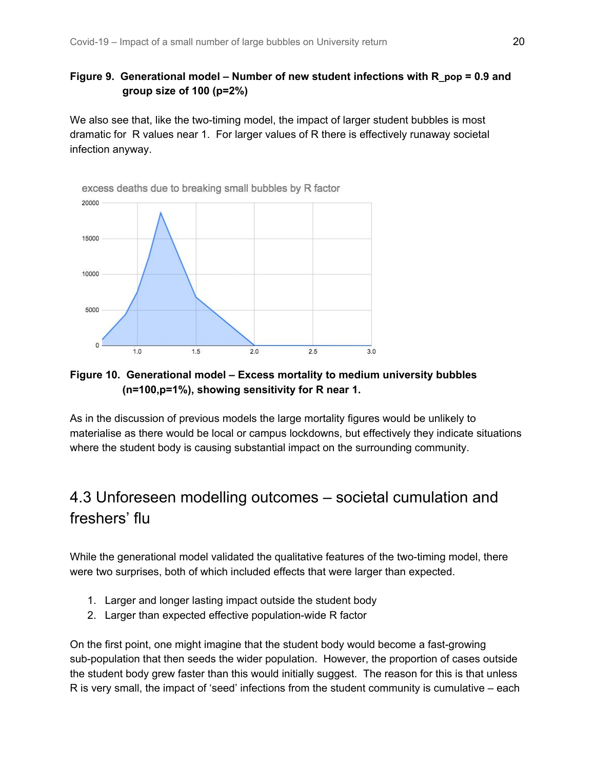#### **Figure 9. Generational model – Number of new student infections with R\_pop = 0.9 and group size of 100 (p=2%)**

We also see that, like the two-timing model, the impact of larger student bubbles is most dramatic for R values near 1. For larger values of R there is effectively runaway societal infection anyway.



#### **Figure 10. Generational model – Excess mortality to medium university bubbles (n=100,p=1%), showing sensitivity for R near 1.**

As in the discussion of previous models the large mortality figures would be unlikely to materialise as there would be local or campus lockdowns, but effectively they indicate situations where the student body is causing substantial impact on the surrounding community.

### 4.3 Unforeseen modelling outcomes – societal cumulation and freshers' flu

While the generational model validated the qualitative features of the two-timing model, there were two surprises, both of which included effects that were larger than expected.

- 1. Larger and longer lasting impact outside the student body
- 2. Larger than expected effective population-wide R factor

On the first point, one might imagine that the student body would become a fast-growing sub-population that then seeds the wider population. However, the proportion of cases outside the student body grew faster than this would initially suggest. The reason for this is that unless R is very small, the impact of 'seed' infections from the student community is cumulative – each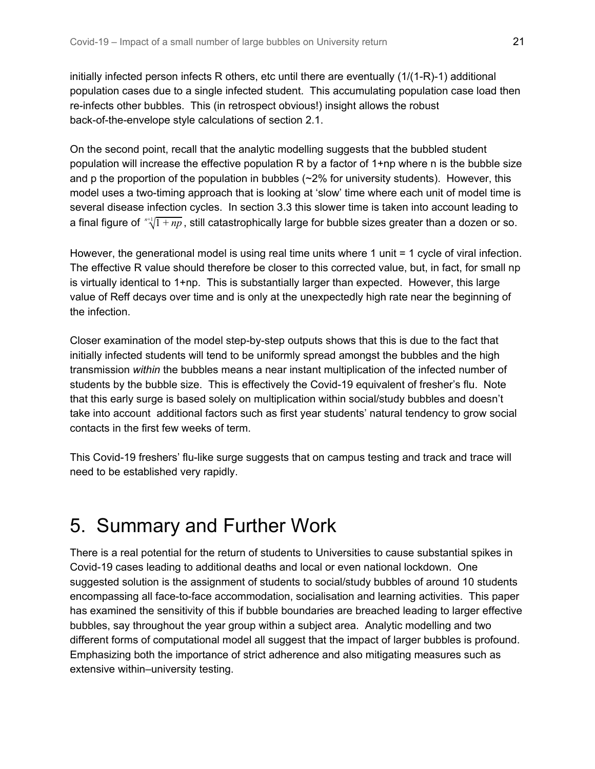initially infected person infects R others, etc until there are eventually (1/(1-R)-1) additional population cases due to a single infected student. This accumulating population case load then re-infects other bubbles. This (in retrospect obvious!) insight allows the robust back-of-the-envelope style calculations of section 2.1.

On the second point, recall that the analytic modelling suggests that the bubbled student population will increase the effective population R by a factor of 1+np where n is the bubble size and p the proportion of the population in bubbles  $\langle 2\%$  for university students). However, this model uses a two-timing approach that is looking at 'slow' time where each unit of model time is several disease infection cycles. In section 3.3 this slower time is taken into account leading to a final figure of  $\sqrt[n+1]{1 + np}$  , still catastrophically large for bubble sizes greater than a dozen or so.

However, the generational model is using real time units where 1 unit = 1 cycle of viral infection. The effective R value should therefore be closer to this corrected value, but, in fact, for small np is virtually identical to 1+np. This is substantially larger than expected. However, this large value of Reff decays over time and is only at the unexpectedly high rate near the beginning of the infection.

Closer examination of the model step-by-step outputs shows that this is due to the fact that initially infected students will tend to be uniformly spread amongst the bubbles and the high transmission *within* the bubbles means a near instant multiplication of the infected number of students by the bubble size. This is effectively the Covid-19 equivalent of fresher's flu. Note that this early surge is based solely on multiplication within social/study bubbles and doesn't take into account additional factors such as first year students' natural tendency to grow social contacts in the first few weeks of term.

This Covid-19 freshers' flu-like surge suggests that on campus testing and track and trace will need to be established very rapidly.

# 5. Summary and Further Work

There is a real potential for the return of students to Universities to cause substantial spikes in Covid-19 cases leading to additional deaths and local or even national lockdown. One suggested solution is the assignment of students to social/study bubbles of around 10 students encompassing all face-to-face accommodation, socialisation and learning activities. This paper has examined the sensitivity of this if bubble boundaries are breached leading to larger effective bubbles, say throughout the year group within a subject area. Analytic modelling and two different forms of computational model all suggest that the impact of larger bubbles is profound. Emphasizing both the importance of strict adherence and also mitigating measures such as extensive within–university testing.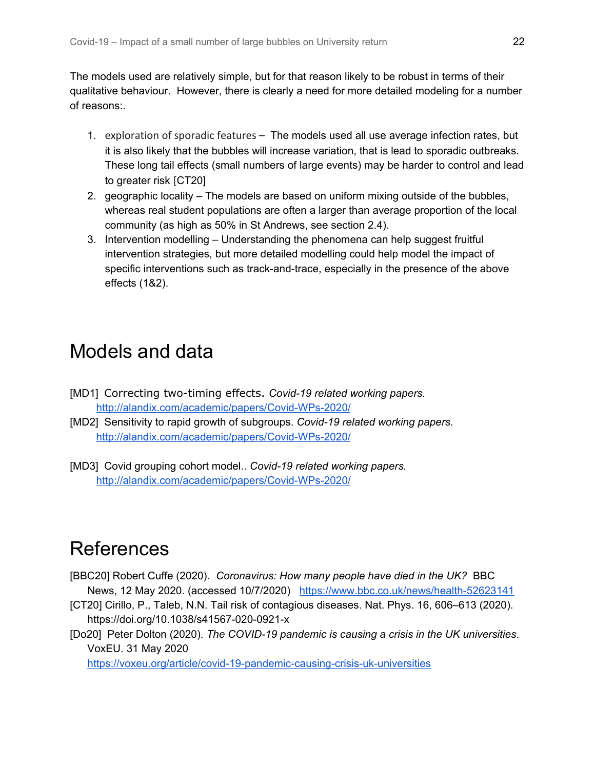The models used are relatively simple, but for that reason likely to be robust in terms of their qualitative behaviour. However, there is clearly a need for more detailed modeling for a number of reasons:.

- 1. exploration of sporadic features The models used all use average infection rates, but it is also likely that the bubbles will increase variation, that is lead to sporadic outbreaks. These long tail effects (small numbers of large events) may be harder to control and lead to greater risk [CT20]
- 2. geographic locality The models are based on uniform mixing outside of the bubbles, whereas real student populations are often a larger than average proportion of the local community (as high as 50% in St Andrews, see section 2.4).
- 3. Intervention modelling Understanding the phenomena can help suggest fruitful intervention strategies, but more detailed modelling could help model the impact of specific interventions such as track-and-trace, especially in the presence of the above effects (1&2).

# Models and data

- [MD1] Correcting two-timing effects. *Covid-19 related working papers.* <http://alandix.com/academic/papers/Covid-WPs-2020/>
- [MD2] Sensitivity to rapid growth of subgroups. *Covid-19 related working papers.* <http://alandix.com/academic/papers/Covid-WPs-2020/>
- [MD3] Covid grouping cohort model.. *Covid-19 related working papers.* <http://alandix.com/academic/papers/Covid-WPs-2020/>

# References

- [BBC20] Robert Cuffe (2020). *Coronavirus: How many people have died in the UK?* BBC News, 12 May 2020. (accessed 10/7/2020) <https://www.bbc.co.uk/news/health-52623141>
- [CT20] Cirillo, P., Taleb, N.N. Tail risk of contagious diseases. Nat. Phys. 16, 606–613 (2020). https://doi.org/10.1038/s41567-020-0921-x
- [Do20] Peter Dolton (2020). *The COVID-19 pandemic is causing a crisis in the UK universities*. VoxEU. 31 May 2020

<https://voxeu.org/article/covid-19-pandemic-causing-crisis-uk-universities>